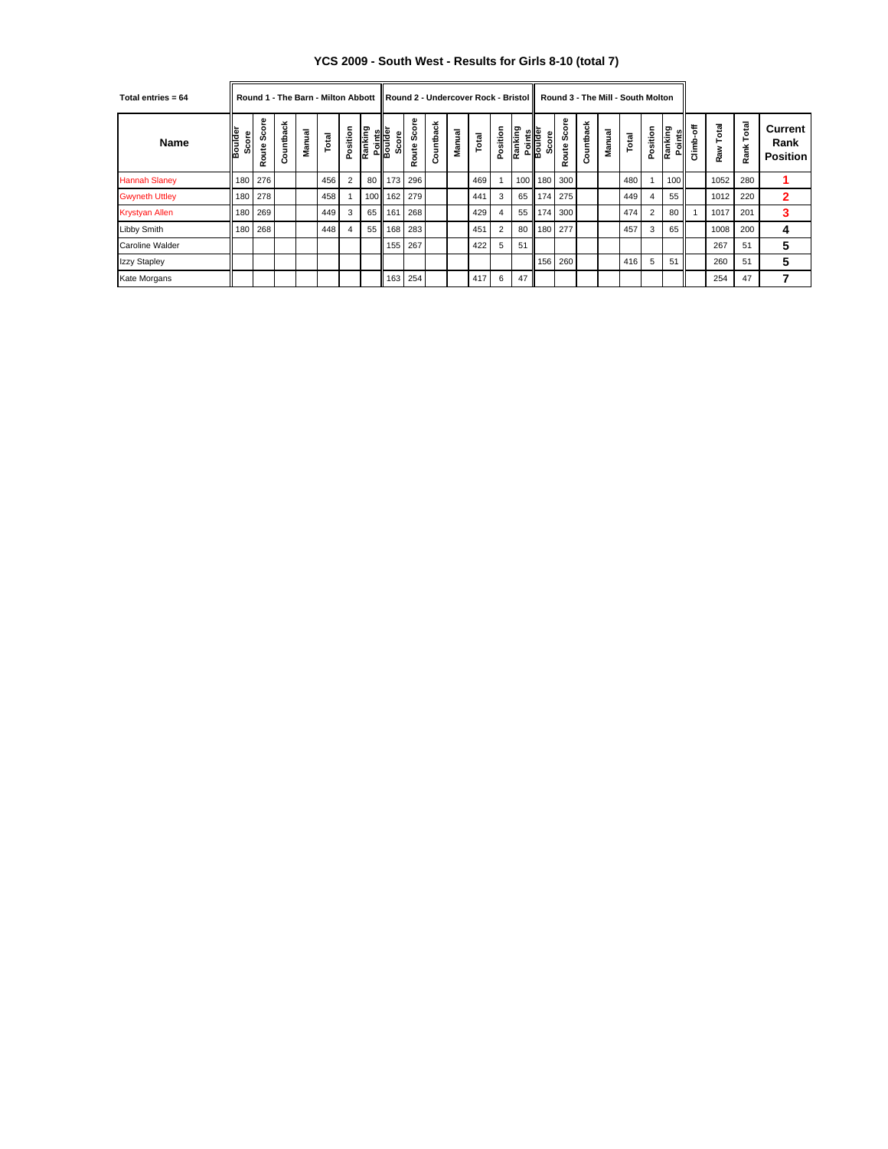# **YCS 2009 - South West - Results for Girls 8-10 (total 7)**

| Total entries = $64$  |                 |                     |           |        |       |                |         |                            |                 |           |        | Round 1 - The Barn - Milton Abbott   Round 2 - Undercover Rock - Bristol |                |         |                            |                |           |        | Round 3 - The Mill - South Molton |                |                   |           |              |               |                                    |
|-----------------------|-----------------|---------------------|-----------|--------|-------|----------------|---------|----------------------------|-----------------|-----------|--------|--------------------------------------------------------------------------|----------------|---------|----------------------------|----------------|-----------|--------|-----------------------------------|----------------|-------------------|-----------|--------------|---------------|------------------------------------|
| <b>Name</b>           | oulder<br>Score | δ<br>ଌ<br>oute<br>œ | Countback | Manual | Total | Position       | Ranking | Points<br>Boulder<br>Score | Score<br>Route: | Countback | Manual | Total                                                                    | Position       | Ranking | Points<br>Boulder<br>Score | Score<br>Route | Countback | Manual | Total                             | Position       | Ranking<br>Points | Climb-off | Total<br>Raw | Total<br>Rank | Current<br>Rank<br><b>Position</b> |
| <b>Hannah Slaney</b>  | 180             | 276                 |           |        | 456   | $\overline{2}$ | 80      | 173                        | 296             |           |        | 469                                                                      |                |         | 100 180                    | 300            |           |        | 480                               |                | 100               |           | 1052         | 280           |                                    |
| <b>Gwyneth Uttley</b> | 180             | 278                 |           |        | 458   |                | 100     |                            | 162 279         |           |        | 441                                                                      | 3              |         | 65 174                     | 275            |           |        | 449                               |                | 55                |           | 1012         | 220           | 2                                  |
| <b>Krystyan Allen</b> | 180             | 269                 |           |        | 449   | 3              | 65      | 161                        | 268             |           |        | 429                                                                      | $\overline{4}$ |         | 55 174                     | 300            |           |        | 474                               | $\overline{2}$ | 80                |           | 1017         | 201           | 3                                  |
| Libby Smith           | 180             | 268                 |           |        | 448   | 4              | 55      | 168                        | 283             |           |        | 451                                                                      | $\overline{2}$ |         | 80 180                     | 277            |           |        | 457                               | 3              | 65                |           | 1008         | 200           | 4                                  |
| Caroline Walder       |                 |                     |           |        |       |                |         | 155                        | 267             |           |        | 422                                                                      | 5              | 51      |                            |                |           |        |                                   |                |                   |           | 267          | 51            | 5                                  |
| <b>Izzy Stapley</b>   |                 |                     |           |        |       |                |         |                            |                 |           |        |                                                                          |                |         | 156                        | 260            |           |        | 416                               | 5              | 51                |           | 260          | 51            | 5                                  |
| Kate Morgans          |                 |                     |           |        |       |                |         | 163                        | 254             |           |        | 417                                                                      | 6              | 47      |                            |                |           |        |                                   |                |                   |           | 254          | 47            | ⇁                                  |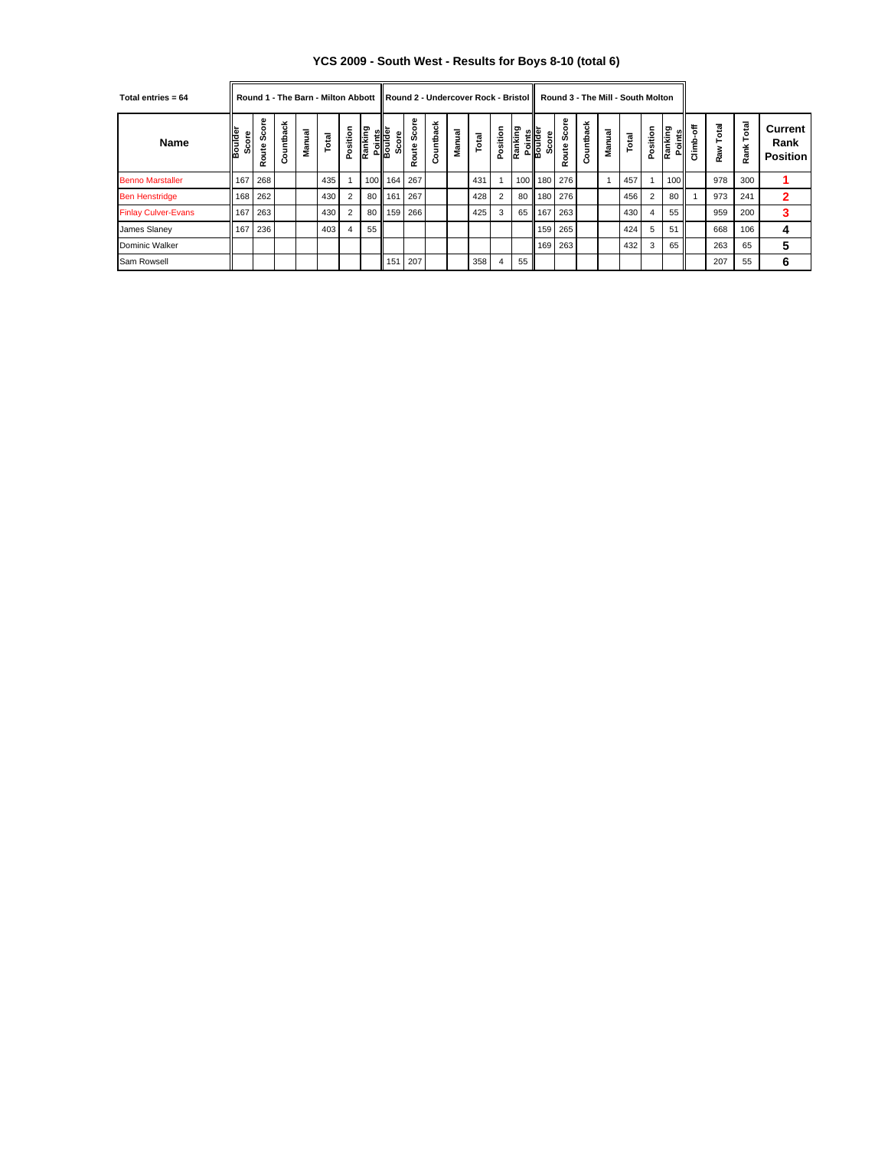## **YCS 2009 - South West - Results for Boys 8-10 (total 6)**

| Total entries = $64$       |                      |                             |           | Round 1 - The Barn - Milton Abbott |       |                |         |                            |                |           |        |       |                |                              |         | <b>IRound 2 - Undercover Rock - Bristol II Round 3 - The Mill - South Molton</b> |           |        |       |                |                   |            |              |               |                                    |
|----------------------------|----------------------|-----------------------------|-----------|------------------------------------|-------|----------------|---------|----------------------------|----------------|-----------|--------|-------|----------------|------------------------------|---------|----------------------------------------------------------------------------------|-----------|--------|-------|----------------|-------------------|------------|--------------|---------------|------------------------------------|
| <b>Name</b>                | Boulder<br>core<br>Ō | ω<br>ഄ<br>g<br>$\circ$<br>œ | Countback | Manual                             | Total | Position       | Ranking | Points<br>Boulder<br>Score | Score<br>Route | Countback | Manual | Total | Position       | Ranking<br>Points<br>Boulder | Score   | Score<br>Route                                                                   | Countback | Manual | Total | Position       | Ranking<br>Points | ŧ<br>cimic | Total<br>Raw | Total<br>Rank | Current<br>Rank<br><b>Position</b> |
| <b>Benno Marstaller</b>    | 167                  | 268                         |           |                                    | 435   |                |         | 100   164 267              |                |           |        | 431   |                |                              | 100 180 | 276                                                                              |           |        | 457   |                | 100 <sup>1</sup>  |            | 978          | 300           |                                    |
| <b>Ben Henstridge</b>      |                      | 168 262                     |           |                                    | 430   | $\overline{2}$ | 80      |                            | 161 267        |           |        | 428   | $\overline{2}$ | 80 II                        | 180     | 276                                                                              |           |        | 456   | $\overline{2}$ | 80                |            | 973          | 241           |                                    |
| <b>Finlay Culver-Evans</b> |                      | 167 263                     |           |                                    | 430   | $\overline{2}$ | 80      |                            | 159 266        |           |        | 425   | 3              | 65 II                        | 167     | 263                                                                              |           |        | 430   | 4              | 55                |            | 959          | 200           | 3                                  |
| James Slaney               | 167                  | 236                         |           |                                    | 403   | $\overline{4}$ | 55      |                            |                |           |        |       |                |                              | 159     | 265                                                                              |           |        | 424   | 5              | 51                |            | 668          | 106           |                                    |
| Dominic Walker             |                      |                             |           |                                    |       |                |         |                            |                |           |        |       |                |                              | 169     | 263                                                                              |           |        | 432   | 3              | 65                |            | 263          | 65            | 5                                  |
| Sam Rowsell                |                      |                             |           |                                    |       |                |         | 151 <sub>1</sub>           | 207            |           |        | 358   | 4              | 55 <sub>1</sub>              |         |                                                                                  |           |        |       |                |                   |            | 207          | 55            | 6                                  |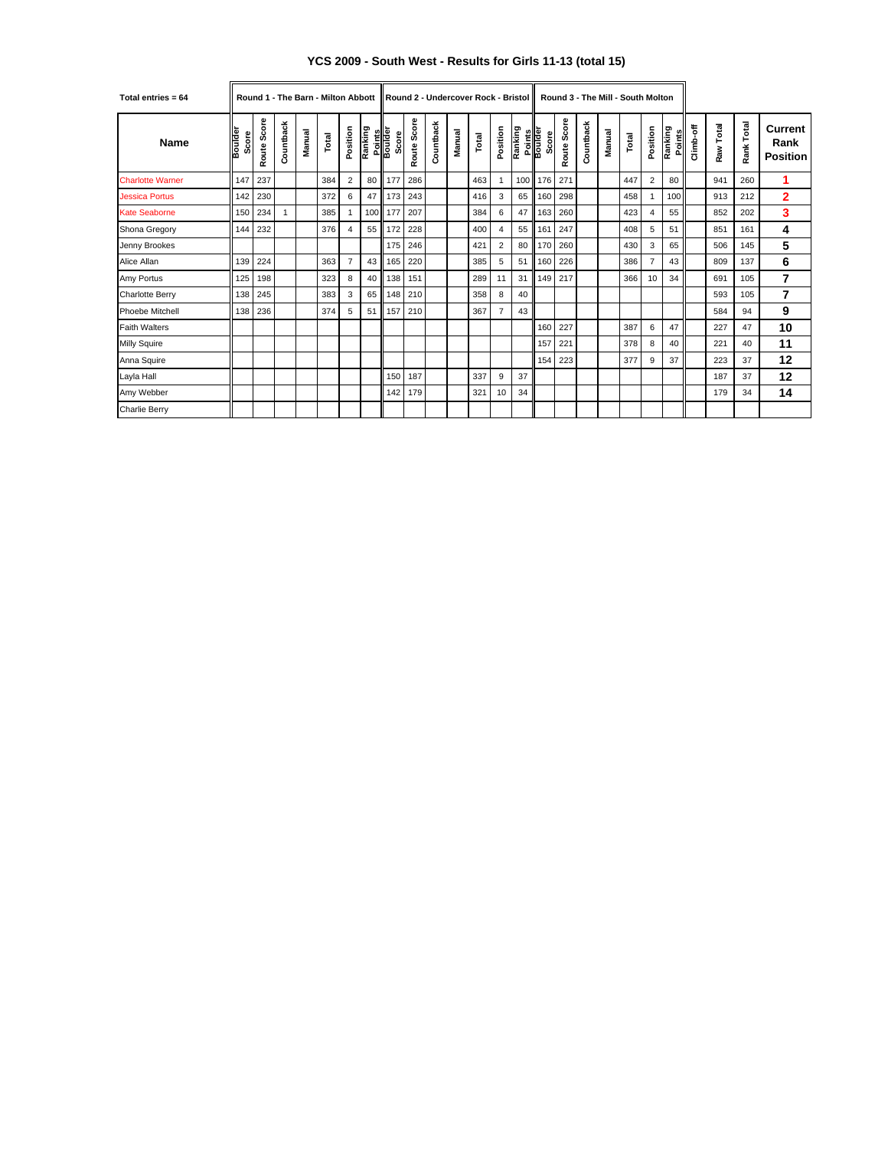# **YCS 2009 - South West - Results for Girls 11-13 (total 15)**

| Total entries = 64      |                  |                |           |        | Round 1 - The Barn - Milton Abbott   Round 2 - Undercover Rock - Bristol |                |         |                            |             |           |        |       |                         |         |                            |             |           |        | Round 3 - The Mill - South Molton |                |                   |           |           |               |                                    |
|-------------------------|------------------|----------------|-----------|--------|--------------------------------------------------------------------------|----------------|---------|----------------------------|-------------|-----------|--------|-------|-------------------------|---------|----------------------------|-------------|-----------|--------|-----------------------------------|----------------|-------------------|-----------|-----------|---------------|------------------------------------|
| <b>Name</b>             | Boulder<br>Score | Score<br>Route | Countback | Manual | Total                                                                    | Position       | Ranking | Points<br>Boulder<br>Score | Route Score | Countback | Manual | Total | Position                | Ranking | Points<br>Boulder<br>Score | Route Score | Countback | Manual | Total                             | Position       | Ranking<br>Points | Climb-off | Raw Total | Total<br>Rank | Current<br>Rank<br><b>Position</b> |
| <b>Charlotte Warner</b> | 147              | 237            |           |        | 384                                                                      | $\overline{2}$ |         | 80 177                     | 286         |           |        | 463   | $\overline{\mathbf{1}}$ | 100     | 176                        | 271         |           |        | 447                               | $\overline{2}$ | 80                |           | 941       | 260           | 1                                  |
| <b>Jessica Portus</b>   | 142              | 230            |           |        | 372                                                                      | 6              |         | 47 173                     | 243         |           |        | 416   | 3                       | 65      | 160                        | 298         |           |        | 458                               |                | 100               |           | 913       | 212           | $\overline{2}$                     |
| <b>Kate Seaborne</b>    | 150              | 234            |           |        | 385                                                                      | $\mathbf{1}$   |         | 100 177                    | 207         |           |        | 384   | 6                       | 47      | 163                        | 260         |           |        | 423                               | Δ              | 55                |           | 852       | 202           | 3                                  |
| Shona Gregory           | 144              | 232            |           |        | 376                                                                      | $\overline{4}$ |         | 55 172                     | 228         |           |        | 400   | $\overline{4}$          | 55      | 161                        | 247         |           |        | 408                               | 5              | 51                |           | 851       | 161           | 4                                  |
| Jenny Brookes           |                  |                |           |        |                                                                          |                |         | 175                        | 246         |           |        | 421   | $\overline{2}$          | 80      | 170                        | 260         |           |        | 430                               | 3              | 65                |           | 506       | 145           | 5                                  |
| Alice Allan             | 139              | 224            |           |        | 363                                                                      | $\overline{7}$ | 43      | 165                        | 220         |           |        | 385   | 5                       | 51      | 160                        | 226         |           |        | 386                               |                | 43                |           | 809       | 137           | 6                                  |
| Amy Portus              | 125              | 198            |           |        | 323                                                                      | 8              | 40      | 138                        | 151         |           |        | 289   | 11                      | 31      | 149                        | 217         |           |        | 366                               | 10             | 34                |           | 691       | 105           | 7                                  |
| Charlotte Berry         | 138              | 245            |           |        | 383                                                                      | 3              | 65 I    | 148                        | 210         |           |        | 358   | 8                       | 40      |                            |             |           |        |                                   |                |                   |           | 593       | 105           | 7                                  |
| Phoebe Mitchell         | 138              | 236            |           |        | 374                                                                      | 5              | 51      | $\blacksquare$ 157         | 210         |           |        | 367   | $\overline{7}$          | 43      |                            |             |           |        |                                   |                |                   |           | 584       | 94            | 9                                  |
| <b>Faith Walters</b>    |                  |                |           |        |                                                                          |                |         |                            |             |           |        |       |                         |         | 160                        | 227         |           |        | 387                               | 6              | 47                |           | 227       | 47            | 10                                 |
| <b>Milly Squire</b>     |                  |                |           |        |                                                                          |                |         |                            |             |           |        |       |                         |         | 157                        | 221         |           |        | 378                               | 8              | 40                |           | 221       | 40            | 11                                 |
| Anna Squire             |                  |                |           |        |                                                                          |                |         |                            |             |           |        |       |                         |         | 154                        | 223         |           |        | 377                               | 9              | 37                |           | 223       | 37            | 12                                 |
| Layla Hall              |                  |                |           |        |                                                                          |                |         | 150                        | 187         |           |        | 337   | 9                       | 37      |                            |             |           |        |                                   |                |                   |           | 187       | 37            | 12                                 |
| Amy Webber              |                  |                |           |        |                                                                          |                |         | 142                        | 179         |           |        | 321   | 10                      | 34      |                            |             |           |        |                                   |                |                   |           | 179       | 34            | 14                                 |
| <b>Charlie Berry</b>    |                  |                |           |        |                                                                          |                |         |                            |             |           |        |       |                         |         |                            |             |           |        |                                   |                |                   |           |           |               |                                    |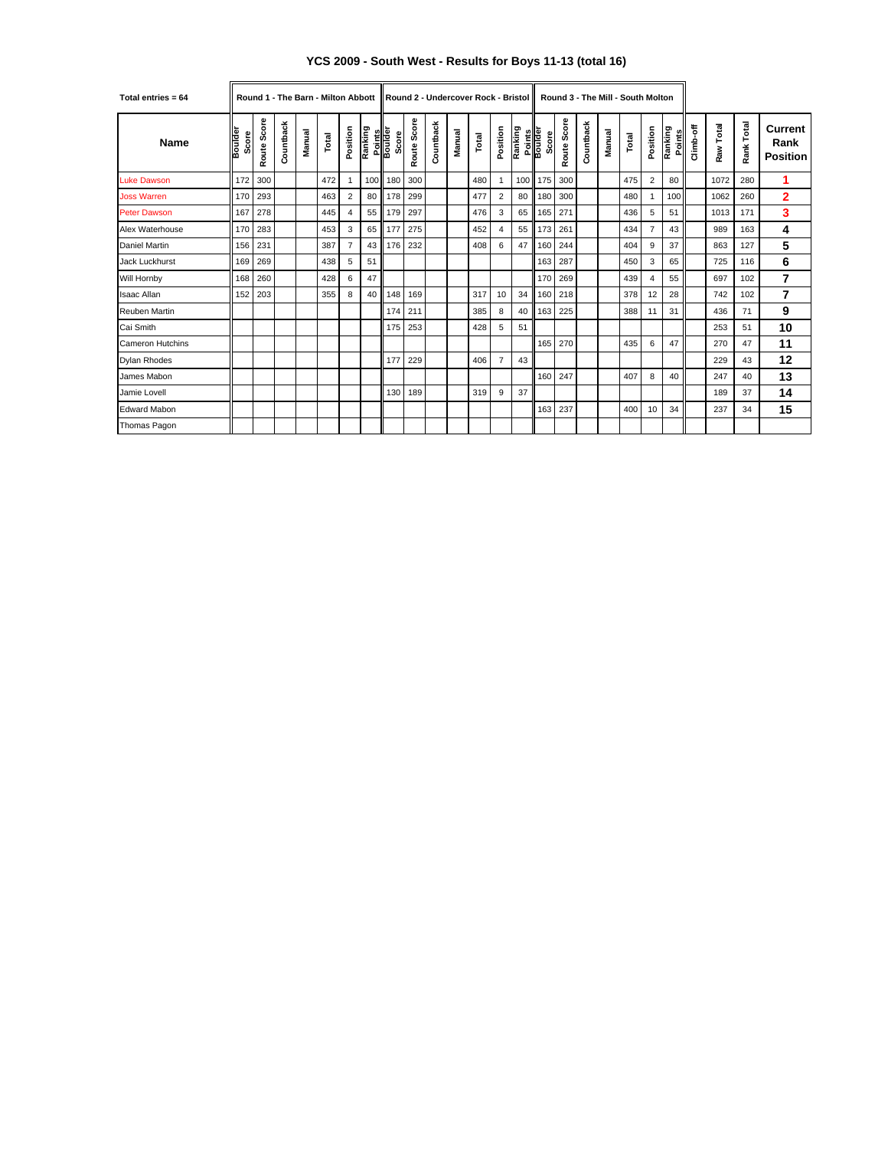## **YCS 2009 - South West - Results for Boys 11-13 (total 16)**

| Total entries = $64$    |                         |             |           |        | Round 1 - The Barn - Milton Abbott |                |         |                            |             |           |        | Round 2 - Undercover Rock - Bristol II |                |                   |                            | Round 3 - The Mill - South Molton |           |        |       |                |                   |           |           |            |                                    |
|-------------------------|-------------------------|-------------|-----------|--------|------------------------------------|----------------|---------|----------------------------|-------------|-----------|--------|----------------------------------------|----------------|-------------------|----------------------------|-----------------------------------|-----------|--------|-------|----------------|-------------------|-----------|-----------|------------|------------------------------------|
| Name                    | <b>Boulder</b><br>Score | Route Score | Countback | Manual | Total                              | Position       | Ranking | Points<br>Boulder<br>Score | Route Score | Countback | Manual | Total                                  | Position       | Ranking           | Points<br>Boulder<br>Score | Route Score                       | Countback | Manual | Total | Position       | Ranking<br>Points | Climb-off | Raw Total | Rank Total | Current<br>Rank<br><b>Position</b> |
| <b>Luke Dawson</b>      | 172                     | 300         |           |        | 472                                | 1              | 100     | 180                        | 300         |           |        | 480                                    | $\overline{1}$ | 100 <sub>II</sub> | 175                        | 300                               |           |        | 475   | $\overline{2}$ | 80                |           | 1072      | 280        | 1                                  |
| <b>Joss Warren</b>      | 170                     | 293         |           |        | 463                                | $\overline{2}$ | 80      | 178                        | 299         |           |        | 477                                    | $\overline{2}$ | 80 l              | 180                        | 300                               |           |        | 480   |                | 100               |           | 1062      | 260        | $\overline{2}$                     |
| <b>Peter Dawson</b>     | 167                     | 278         |           |        | 445                                | 4              | 55      | 179                        | 297         |           |        | 476                                    | 3              | 65 l              | 165                        | 271                               |           |        | 436   | 5              | 51                |           | 1013      | 171        | 3                                  |
| Alex Waterhouse         | 170                     | 283         |           |        | 453                                | 3              | 65      | 177                        | 275         |           |        | 452                                    | $\overline{4}$ | 55 I              | 173                        | 261                               |           |        | 434   | $\overline{7}$ | 43                |           | 989       | 163        | 4                                  |
| Daniel Martin           | 156                     | 231         |           |        | 387                                | $\overline{7}$ | 43      | 176                        | 232         |           |        | 408                                    | 6              | 47                | 160                        | 244                               |           |        | 404   | 9              | 37                |           | 863       | 127        | 5                                  |
| <b>Jack Luckhurst</b>   | 169                     | 269         |           |        | 438                                | 5              | 51      |                            |             |           |        |                                        |                |                   | 163                        | 287                               |           |        | 450   | 3              | 65                |           | 725       | 116        | 6                                  |
| Will Hornby             | 168                     | 260         |           |        | 428                                | 6              | 47      |                            |             |           |        |                                        |                |                   | 170                        | 269                               |           |        | 439   | 4              | 55                |           | 697       | 102        | 7                                  |
| <b>Isaac Allan</b>      | 152                     | 203         |           |        | 355                                | 8              | 40      | 148                        | 169         |           |        | 317                                    | 10             | 34                | 160                        | 218                               |           |        | 378   | 12             | 28                |           | 742       | 102        | 7                                  |
| <b>Reuben Martin</b>    |                         |             |           |        |                                    |                |         | 174                        | 211         |           |        | 385                                    | 8              | 40                | 163                        | 225                               |           |        | 388   | 11             | 31                |           | 436       | 71         | 9                                  |
| Cai Smith               |                         |             |           |        |                                    |                |         | 175                        | 253         |           |        | 428                                    | 5              | 51                |                            |                                   |           |        |       |                |                   |           | 253       | 51         | 10                                 |
| <b>Cameron Hutchins</b> |                         |             |           |        |                                    |                |         |                            |             |           |        |                                        |                |                   | 165                        | 270                               |           |        | 435   | 6              | 47                |           | 270       | 47         | 11                                 |
| <b>Dylan Rhodes</b>     |                         |             |           |        |                                    |                |         | 177                        | 229         |           |        | 406                                    | $\overline{7}$ | 43                |                            |                                   |           |        |       |                |                   |           | 229       | 43         | 12                                 |
| James Mabon             |                         |             |           |        |                                    |                |         |                            |             |           |        |                                        |                |                   | 160                        | 247                               |           |        | 407   | 8              | 40                |           | 247       | 40         | 13                                 |
| Jamie Lovell            |                         |             |           |        |                                    |                |         | 130                        | 189         |           |        | 319                                    | 9              | 37                |                            |                                   |           |        |       |                |                   |           | 189       | 37         | 14                                 |
| <b>Edward Mabon</b>     |                         |             |           |        |                                    |                |         |                            |             |           |        |                                        |                |                   | 163                        | 237                               |           |        | 400   | 10             | 34                |           | 237       | 34         | 15                                 |
| Thomas Pagon            |                         |             |           |        |                                    |                |         |                            |             |           |        |                                        |                |                   |                            |                                   |           |        |       |                |                   |           |           |            |                                    |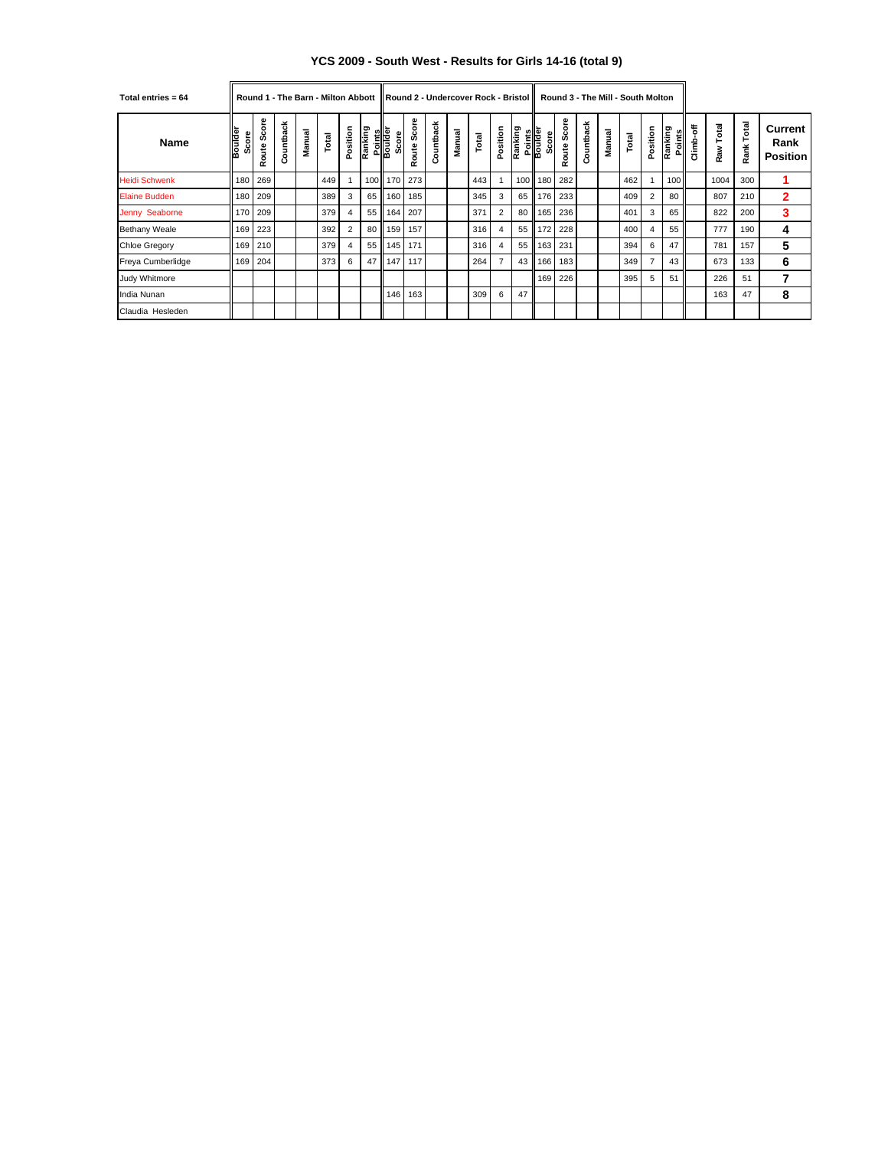## **YCS 2009 - South West - Results for Girls 14-16 (total 9)**

| Total entries = $64$ |                         | Round 1 - The Barn - Milton Abbott |           |        |       |                |         |                            |                |           |        |       |                | Round 2 - Undercover Rock - Bristol II |                            | Round 3 - The Mill - South Molton |               |        |       |                |                   |           |              |               |                                    |
|----------------------|-------------------------|------------------------------------|-----------|--------|-------|----------------|---------|----------------------------|----------------|-----------|--------|-------|----------------|----------------------------------------|----------------------------|-----------------------------------|---------------|--------|-------|----------------|-------------------|-----------|--------------|---------------|------------------------------------|
| Name                 | <b>Iapinos</b><br>Score | å<br>မိ<br>Route                   | Countback | Manual | Total | Position       | Ranking | Points<br>Boulder<br>Score | Score<br>Route | Countback | Manual | Total | Position       | Ranking                                | Points<br>Boulder<br>Score | Score<br>Route                    | ountback<br>Ō | Manual | Total | Position       | Ranking<br>Points | Climb-off | Total<br>Raw | Total<br>Rank | Current<br>Rank<br><b>Position</b> |
| <b>Heidi Schwenk</b> | 180                     | 269                                |           |        | 449   |                | 100     | 170 l                      | 273            |           |        | 443   |                | 100 <sup>1</sup>                       | 180                        | 282                               |               |        | 462   |                | 100 <sup>1</sup>  |           | 1004         | 300           |                                    |
| <b>Elaine Budden</b> |                         | 180 209                            |           |        | 389   | 3              | 65      | 160 <sub>l</sub>           | 185            |           |        | 345   | 3              | 65 II                                  | 176                        | 233                               |               |        | 409   | $\overline{2}$ | 80                |           | 807          | 210           | $\overline{2}$                     |
| Jenny Seaborne       | 170 l                   | 209                                |           |        | 379   | 4              | 55      | 164                        | 207            |           |        | 371   | $\overline{2}$ | 80 <sub>1</sub>                        | 165                        | 236                               |               |        | 401   | 3              | 65                |           | 822          | 200           | 3                                  |
| <b>Bethany Weale</b> | 169 <sup>1</sup>        | 223                                |           |        | 392   | $\overline{2}$ | 80      | 159 <sup>1</sup>           | 157            |           |        | 316   | $\overline{4}$ |                                        | 55   172                   | 228                               |               |        | 400   | $\overline{4}$ | 55                |           | 777          | 190           | 4                                  |
| <b>Chloe Gregory</b> |                         | 169 210                            |           |        | 379   | $\overline{4}$ | 55      | 145                        | 171            |           |        | 316   | $\overline{4}$ | 55 <sub>1</sub>                        | 163                        | 231                               |               |        | 394   | 6              | 47                |           | 781          | 157           | 5                                  |
| Freya Cumberlidge    |                         | 169 204                            |           |        | 373   | 6              | 47      | 147                        | 117            |           |        | 264   | $\overline{7}$ | $43 \text{ l}$                         | 166                        | 183                               |               |        | 349   |                | 43                |           | 673          | 133           | 6                                  |
| Judy Whitmore        |                         |                                    |           |        |       |                |         |                            |                |           |        |       |                |                                        | 169                        | 226                               |               |        | 395   | 5              | 51                |           | 226          | 51            | 7                                  |
| India Nunan          |                         |                                    |           |        |       |                |         | 146                        | 163            |           |        | 309   | 6              | 47                                     |                            |                                   |               |        |       |                |                   |           | 163          | 47            | 8                                  |
| Claudia Hesleden     |                         |                                    |           |        |       |                |         |                            |                |           |        |       |                |                                        |                            |                                   |               |        |       |                |                   |           |              |               |                                    |